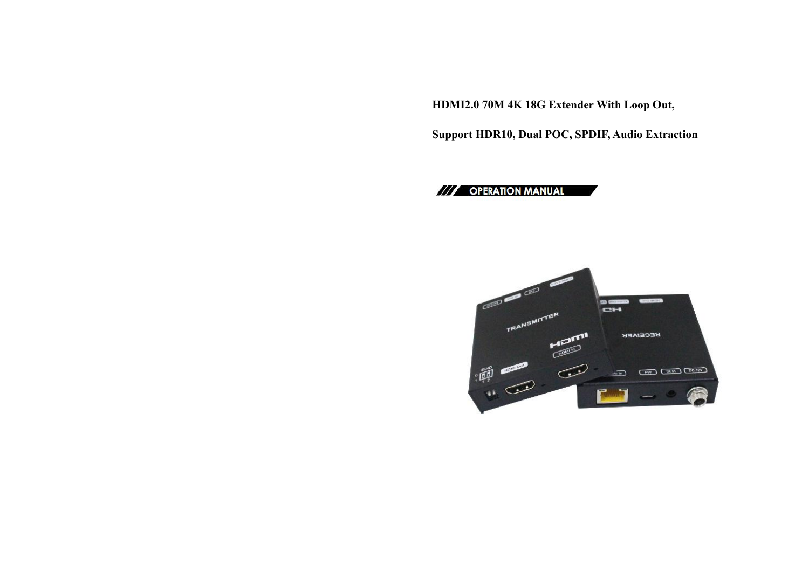**HDMI2.0 70M 4K 18G Extender With Loop Out,**

**Support HDR10, Dual POC, SPDIF, Audio Extraction**

/// OPERATION MANUAL

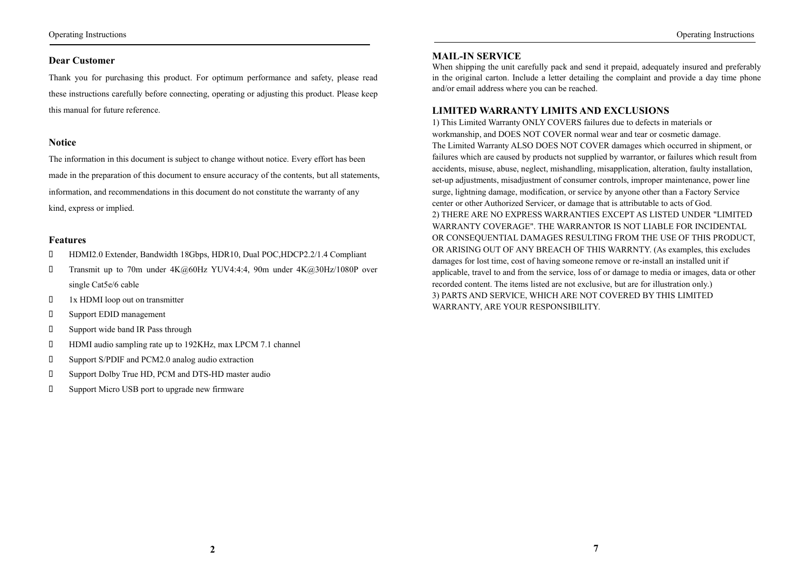# **Dear Customer**

Thank you for purchasing this product. For optimum performance and safety, please read these instructions carefully before connecting, operating or adjusting this product. Please keep this manual for future reference.

#### **Notice**

The information in this document is subject to change without notice. Every effort has been made in the preparation of this document to ensure accuracy of the contents, but all statements, information, and recommendations in this document do not constitute the warranty of any kind, express or implied.

#### **Features**

- HDMI2.0 Extender, Bandwidth 18Gbps, HDR10, Dual POC,HDCP2.2/1.4 Compliant
- Transmit up to 70m under 4K@60Hz YUV4:4:4, 90m under 4K@30Hz/1080P over single Cat5e/6 cable
- $1x$  HDMI loop out on transmitter
- Support EDID management
- Support wide band IR Pass through
- HDMI audio sampling rate up to 192KHz, max LPCM 7.1 channel
- Support S/PDIF and PCM2.0 analog audio extraction
- Support Dolby True HD, PCM and DTS-HD master audio
- Support Micro USB port to upgrade new firmware

#### **MAIL-IN SERVICE**

When shipping the unit carefully pack and send it prepaid, adequately insured and preferably in the original carton. Include a letter detailing the complaint and provide a day time phone and/or email address where you can be reached.

#### **LIMITED WARRANTY LIMITS AND EXCLUSIONS**

1) This Limited Warranty ONLY COVERS failures due to defects in materials or workmanship, and DOES NOT COVER normal wear and tear or cosmetic damage. The Limited Warranty ALSO DOES NOT COVER damages which occurred in shipment, or failures which are caused by products not supplied by warrantor, or failures which result from accidents, misuse, abuse, neglect, mishandling, misapplication, alteration, faulty installation, set-up adjustments, misadjustment of consumer controls, improper maintenance, power line surge, lightning damage, modification, or service by anyone other than a Factory Service center or other Authorized Servicer, or damage that is attributable to acts of God. 2) THERE ARE NO EXPRESS WARRANTIES EXCEPT AS LISTED UNDER "LIMITED WARRANTY COVERAGE". THE WARRANTOR IS NOT LIABLE FOR INCIDENTAL OR CONSEQUENTIAL DAMAGES RESULTING FROM THE USE OF THIS PRODUCT, OR ARISING OUT OF ANY BREACH OF THIS WARRNTY. (As examples, this excludes damages for lost time, cost of having someone remove or re-install an installed unit if applicable, travel to and from the service, loss of or damage to media or images, data or other recorded content. The items listed are not exclusive, but are for illustration only.) 3) PARTS AND SERVICE, WHICH ARE NOT COVERED BY THIS LIMITED WARRANTY, ARE YOUR RESPONSIBILITY.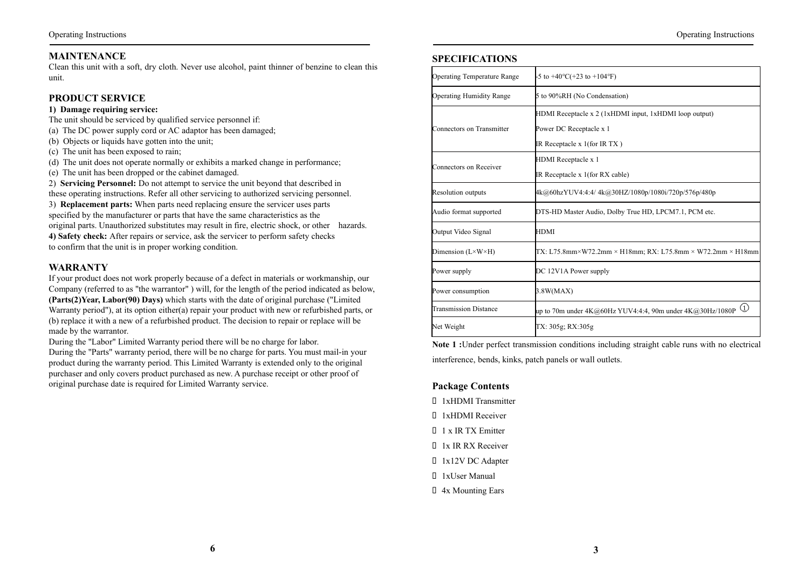# **MAINTENANCE**

Clean this unit with a soft, dry cloth. Never use alcohol, paint thinner of benzine to clean this unit.

## **PRODUCT SERVICE**

#### **1) Damage requiring service:**

The unit should be serviced by qualified service personnel if:

- (a) The DC power supply cord or AC adaptor has been damaged;
- (b) Objects or liquids have gotten into the unit;
- (c) The unit has been exposed to rain;
- (d) The unit does not operate normally or exhibits a marked change in performance;
- (e) The unit has been dropped or the cabinet damaged.

2) **Servicing Personnel:** Do not attempt to service the unit beyond that described in these operating instructions. Refer all other servicing to authorized servicing personnel.

3) **Replacement parts:** When parts need replacing ensure the servicer uses parts specified by the manufacturer or parts that have the same characteristics as the original parts. Unauthorized substitutes may result in fire, electric shock, or other hazards. **4) Safety check:** After repairs or service, ask the servicer to perform safety checks to confirm that the unit is in proper working condition.

# **WARRANTY**

If your product does not work properly because of a defect in materials or workmanship, our Company (referred to as "the warrantor" ) will, for the length of the period indicated as below, **(Parts(2)Year, Labor(90) Days)** which starts with the date of original purchase ("Limited Warranty period"), at its option either(a) repair your product with new or refurbished parts, or (b) replace it with a new of a refurbished product. The decision to repair or replace will be made by the warrantor.

During the "Labor" Limited Warranty period there will be no charge for labor.

During the "Parts" warranty period, there will be no charge for parts. You must mail-in your product during the warranty period. This Limited Warranty is extended only to the original purchaser and only covers product purchased as new. A purchase receipt or other proof of original purchase date is required for Limited Warranty service.

# **SPECIFICATIONS**

| Operating Temperature Range       | $-5$ to $+40^{\circ}$ C(+23 to $+104^{\circ}$ F)                                   |  |
|-----------------------------------|------------------------------------------------------------------------------------|--|
| Operating Humidity Range          | 5 to 90%RH (No Condensation)                                                       |  |
|                                   | HDMI Receptacle x 2 (1xHDMI input, 1xHDMI loop output)                             |  |
| Connectors on Transmitter         | Power DC Receptacle x 1                                                            |  |
|                                   | IR Receptacle $x$ 1(for IR TX)                                                     |  |
|                                   | HDMI Receptacle x 1                                                                |  |
| Connectors on Receiver            | IR Receptacle x 1(for RX cable)                                                    |  |
| Resolution outputs                | 4k@60hzYUV4:4:4/4k@30HZ/1080p/1080i/720p/576p/480p                                 |  |
| Audio format supported            | DTS-HD Master Audio, Dolby True HD, LPCM7.1, PCM etc.                              |  |
| Output Video Signal               | HDMI                                                                               |  |
| Dimension $(L \times W \times H)$ | $TX: L75.8mm \times W72.2mm \times H18mm; RX: L75.8mm \times W72.2mm \times H18mm$ |  |
| Power supply                      | DC 12V1A Power supply                                                              |  |
| Power consumption                 | 3.8W(MAX)                                                                          |  |
| Transmission Distance             | $\left( 1\right)$<br>up to 70m under $4K@60Hz$ YUV4:4:4, 90m under $4K@30Hz/1080P$ |  |
| Net Weight                        | TX: 305g; RX:305g                                                                  |  |

**Note 1 :**Under perfect transmission conditions including straight cable runs with no electrical interference, bends, kinks, patch panels or wall outlets.

#### **Package Contents**

- 1xHDMI Transmitter
- 1xHDMI Receiver
- 1 x IR TX Emitter
- 1x IR RX Receiver
- 1x12V DC Adapter
- 1xUser Manual
- 4x Mounting Ears